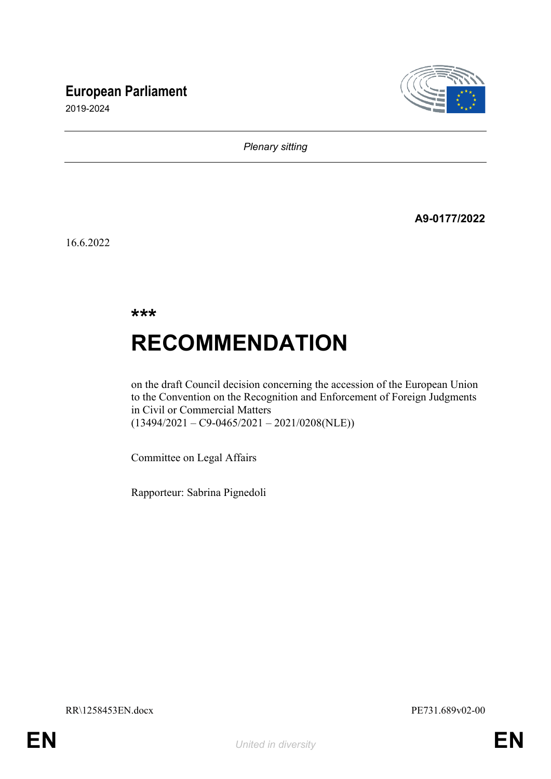## **European Parliament**





*Plenary sitting*

**A9-0177/2022**

16.6.2022

**\*\*\***

# **RECOMMENDATION**

on the draft Council decision concerning the accession of the European Union to the Convention on the Recognition and Enforcement of Foreign Judgments in Civil or Commercial Matters  $(13494/2021 - C9 - 0465/2021 - 2021/0208(NLE))$ 

Committee on Legal Affairs

Rapporteur: Sabrina Pignedoli

RR\1258453EN.docx PE731.689v02-00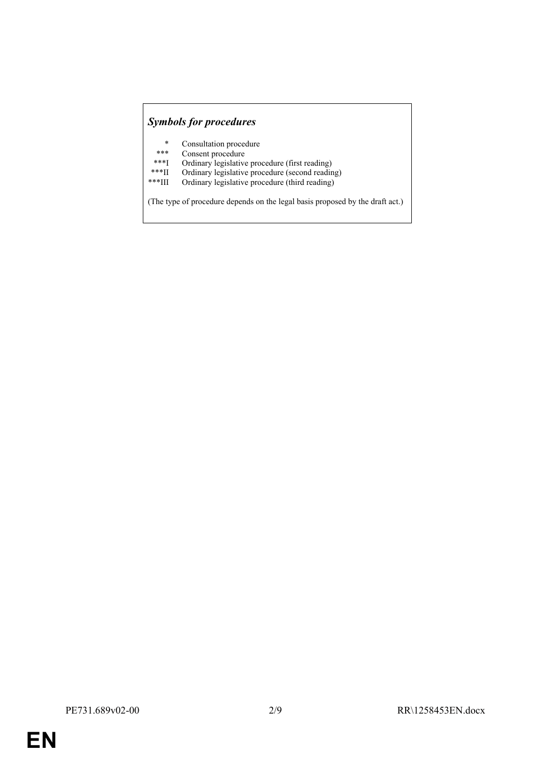### *Symbols for procedures*

- \* Consultation procedure
- \*\*\* Consent procedure<br>\*\*\*I Ordinary legislative
- \*\*\*I Ordinary legislative procedure (first reading)<br>\*\*\*II Ordinary legislative procedure (second reading)
- \*\*\*II Ordinary legislative procedure (second reading)
- Ordinary legislative procedure (third reading)

(The type of procedure depends on the legal basis proposed by the draft act.)

**EN**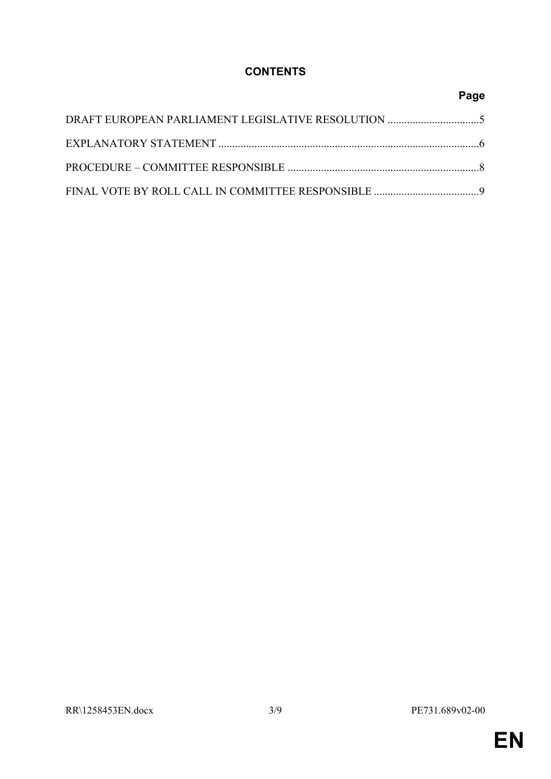## **CONTENTS**

## **Page**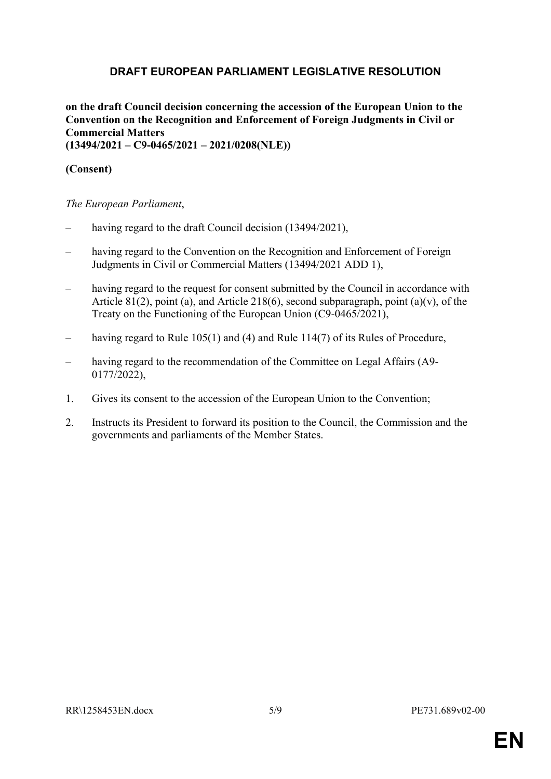## <span id="page-4-0"></span>**DRAFT EUROPEAN PARLIAMENT LEGISLATIVE RESOLUTION**

#### **on the draft Council decision concerning the accession of the European Union to the Convention on the Recognition and Enforcement of Foreign Judgments in Civil or Commercial Matters (13494/2021 – C9-0465/2021 – 2021/0208(NLE))**

#### **(Consent)**

*The European Parliament*,

- having regard to the draft Council decision (13494/2021),
- having regard to the Convention on the Recognition and Enforcement of Foreign Judgments in Civil or Commercial Matters (13494/2021 ADD 1),
- having regard to the request for consent submitted by the Council in accordance with Article 81(2), point (a), and Article 218(6), second subparagraph, point (a)(v), of the Treaty on the Functioning of the European Union (C9-0465/2021),
- having regard to Rule 105(1) and (4) and Rule 114(7) of its Rules of Procedure,
- having regard to the recommendation of the Committee on Legal Affairs (A9-0177/2022),
- 1. Gives its consent to the accession of the European Union to the Convention;
- 2. Instructs its President to forward its position to the Council, the Commission and the governments and parliaments of the Member States.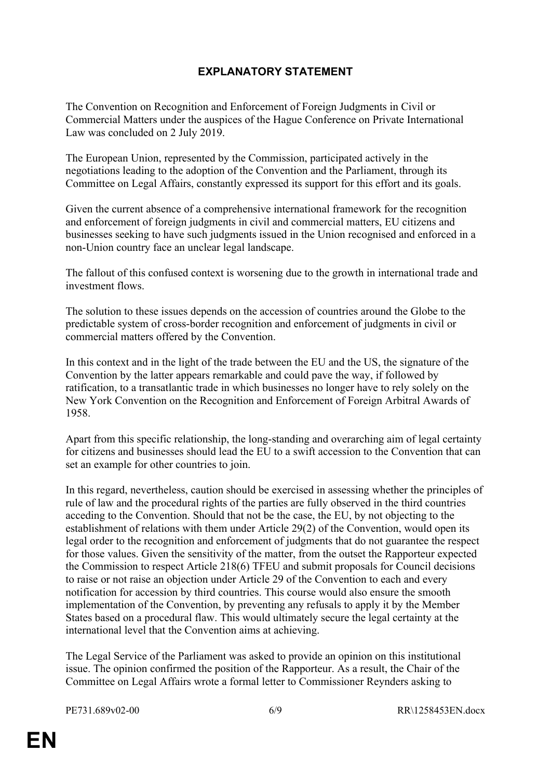## <span id="page-5-0"></span>**EXPLANATORY STATEMENT**

The Convention on Recognition and Enforcement of Foreign Judgments in Civil or Commercial Matters under the auspices of the Hague Conference on Private International Law was concluded on 2 July 2019.

The European Union, represented by the Commission, participated actively in the negotiations leading to the adoption of the Convention and the Parliament, through its Committee on Legal Affairs, constantly expressed its support for this effort and its goals.

Given the current absence of a comprehensive international framework for the recognition and enforcement of foreign judgments in civil and commercial matters, EU citizens and businesses seeking to have such judgments issued in the Union recognised and enforced in a non-Union country face an unclear legal landscape.

The fallout of this confused context is worsening due to the growth in international trade and investment flows.

The solution to these issues depends on the accession of countries around the Globe to the predictable system of cross-border recognition and enforcement of judgments in civil or commercial matters offered by the Convention.

In this context and in the light of the trade between the EU and the US, the signature of the Convention by the latter appears remarkable and could pave the way, if followed by ratification, to a transatlantic trade in which businesses no longer have to rely solely on the New York Convention on the Recognition and Enforcement of Foreign Arbitral Awards of 1958.

Apart from this specific relationship, the long-standing and overarching aim of legal certainty for citizens and businesses should lead the EU to a swift accession to the Convention that can set an example for other countries to join.

In this regard, nevertheless, caution should be exercised in assessing whether the principles of rule of law and the procedural rights of the parties are fully observed in the third countries acceding to the Convention. Should that not be the case, the EU, by not objecting to the establishment of relations with them under Article 29(2) of the Convention, would open its legal order to the recognition and enforcement of judgments that do not guarantee the respect for those values. Given the sensitivity of the matter, from the outset the Rapporteur expected the Commission to respect Article 218(6) TFEU and submit proposals for Council decisions to raise or not raise an objection under Article 29 of the Convention to each and every notification for accession by third countries. This course would also ensure the smooth implementation of the Convention, by preventing any refusals to apply it by the Member States based on a procedural flaw. This would ultimately secure the legal certainty at the international level that the Convention aims at achieving.

The Legal Service of the Parliament was asked to provide an opinion on this institutional issue. The opinion confirmed the position of the Rapporteur. As a result, the Chair of the Committee on Legal Affairs wrote a formal letter to Commissioner Reynders asking to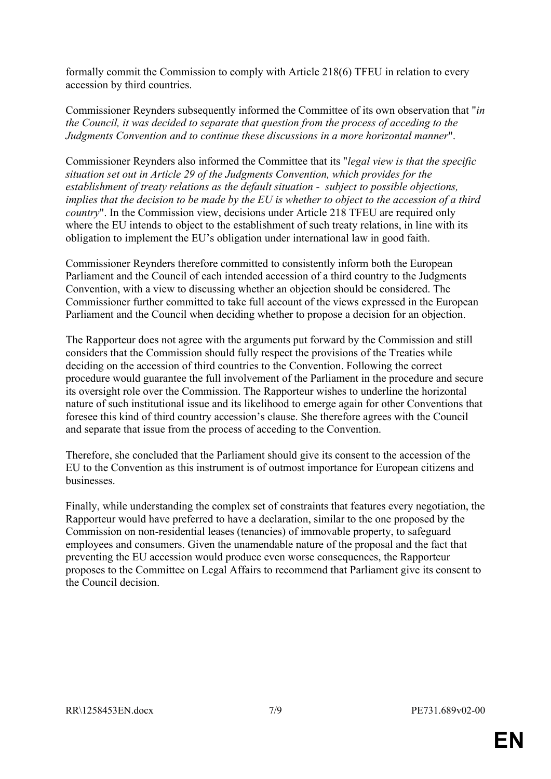formally commit the Commission to comply with Article 218(6) TFEU in relation to every accession by third countries.

Commissioner Reynders subsequently informed the Committee of its own observation that "*in the Council, it was decided to separate that question from the process of acceding to the Judgments Convention and to continue these discussions in a more horizontal manner*".

Commissioner Reynders also informed the Committee that its "*legal view is that the specific situation set out in Article 29 of the Judgments Convention, which provides for the establishment of treaty relations as the default situation - subject to possible objections, implies that the decision to be made by the EU is whether to object to the accession of a third country*". In the Commission view, decisions under Article 218 TFEU are required only where the EU intends to object to the establishment of such treaty relations, in line with its obligation to implement the EU's obligation under international law in good faith.

Commissioner Reynders therefore committed to consistently inform both the European Parliament and the Council of each intended accession of a third country to the Judgments Convention, with a view to discussing whether an objection should be considered. The Commissioner further committed to take full account of the views expressed in the European Parliament and the Council when deciding whether to propose a decision for an objection.

The Rapporteur does not agree with the arguments put forward by the Commission and still considers that the Commission should fully respect the provisions of the Treaties while deciding on the accession of third countries to the Convention. Following the correct procedure would guarantee the full involvement of the Parliament in the procedure and secure its oversight role over the Commission. The Rapporteur wishes to underline the horizontal nature of such institutional issue and its likelihood to emerge again for other Conventions that foresee this kind of third country accession's clause. She therefore agrees with the Council and separate that issue from the process of acceding to the Convention.

Therefore, she concluded that the Parliament should give its consent to the accession of the EU to the Convention as this instrument is of outmost importance for European citizens and businesses.

Finally, while understanding the complex set of constraints that features every negotiation, the Rapporteur would have preferred to have a declaration, similar to the one proposed by the Commission on non-residential leases (tenancies) of immovable property, to safeguard employees and consumers. Given the unamendable nature of the proposal and the fact that preventing the EU accession would produce even worse consequences, the Rapporteur proposes to the Committee on Legal Affairs to recommend that Parliament give its consent to the Council decision.

**EN**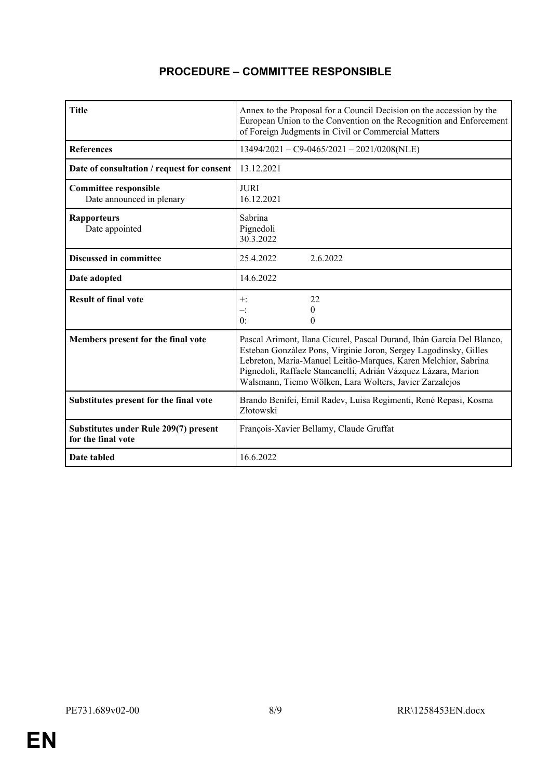## <span id="page-7-0"></span>**PROCEDURE – COMMITTEE RESPONSIBLE**

| <b>Title</b>                                                       | Annex to the Proposal for a Council Decision on the accession by the<br>European Union to the Convention on the Recognition and Enforcement<br>of Foreign Judgments in Civil or Commercial Matters                                                                                                                                       |  |
|--------------------------------------------------------------------|------------------------------------------------------------------------------------------------------------------------------------------------------------------------------------------------------------------------------------------------------------------------------------------------------------------------------------------|--|
| <b>References</b>                                                  | $13494/2021 - C9 - 0465/2021 - 2021/0208(NLE)$                                                                                                                                                                                                                                                                                           |  |
| Date of consultation / request for consent                         | 13.12.2021                                                                                                                                                                                                                                                                                                                               |  |
| <b>Committee responsible</b><br>Date announced in plenary          | <b>JURI</b><br>16.12.2021                                                                                                                                                                                                                                                                                                                |  |
| <b>Rapporteurs</b><br>Date appointed                               | Sabrina<br>Pignedoli<br>30.3.2022                                                                                                                                                                                                                                                                                                        |  |
| <b>Discussed in committee</b>                                      | 2.6.2022<br>25.4.2022                                                                                                                                                                                                                                                                                                                    |  |
| Date adopted                                                       | 14.6.2022                                                                                                                                                                                                                                                                                                                                |  |
| <b>Result of final vote</b>                                        | 22<br>$+$ :<br>0<br>$-$ :<br>0:<br>0                                                                                                                                                                                                                                                                                                     |  |
| Members present for the final vote                                 | Pascal Arimont, Ilana Cicurel, Pascal Durand, Ibán García Del Blanco,<br>Esteban González Pons, Virginie Joron, Sergey Lagodinsky, Gilles<br>Lebreton, Maria-Manuel Leitão-Marques, Karen Melchior, Sabrina<br>Pignedoli, Raffaele Stancanelli, Adrián Vázquez Lázara, Marion<br>Walsmann, Tiemo Wölken, Lara Wolters, Javier Zarzalejos |  |
| Substitutes present for the final vote                             | Brando Benifei, Emil Radev, Luisa Regimenti, René Repasi, Kosma<br>Złotowski                                                                                                                                                                                                                                                             |  |
| <b>Substitutes under Rule 209(7) present</b><br>for the final vote | François-Xavier Bellamy, Claude Gruffat                                                                                                                                                                                                                                                                                                  |  |
| Date tabled                                                        | 16.6.2022                                                                                                                                                                                                                                                                                                                                |  |

**EN**